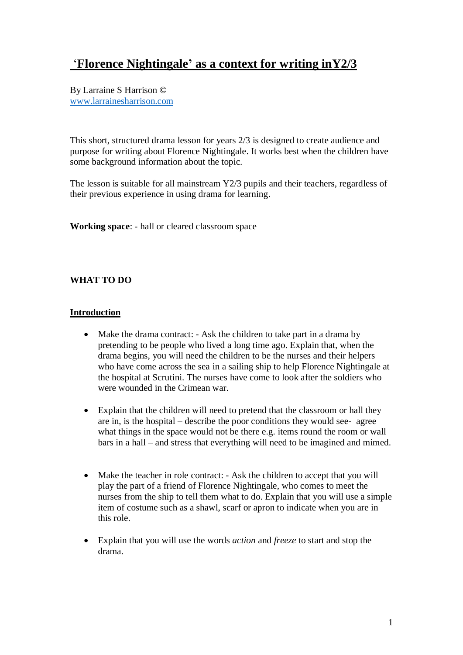# '**Florence Nightingale' as a context for writing inY2/3**

By Larraine S Harrison © [www.larrainesharrison.com](http://www.larrainesharrison.com/)

This short, structured drama lesson for years 2/3 is designed to create audience and purpose for writing about Florence Nightingale. It works best when the children have some background information about the topic.

The lesson is suitable for all mainstream Y2/3 pupils and their teachers, regardless of their previous experience in using drama for learning.

**Working space**: - hall or cleared classroom space

## **WHAT TO DO**

#### **Introduction**

- Make the drama contract: Ask the children to take part in a drama by pretending to be people who lived a long time ago. Explain that, when the drama begins, you will need the children to be the nurses and their helpers who have come across the sea in a sailing ship to help Florence Nightingale at the hospital at Scrutini. The nurses have come to look after the soldiers who were wounded in the Crimean war.
- Explain that the children will need to pretend that the classroom or hall they are in, is the hospital – describe the poor conditions they would see- agree what things in the space would not be there e.g. items round the room or wall bars in a hall – and stress that everything will need to be imagined and mimed.
- Make the teacher in role contract: Ask the children to accept that you will play the part of a friend of Florence Nightingale, who comes to meet the nurses from the ship to tell them what to do. Explain that you will use a simple item of costume such as a shawl, scarf or apron to indicate when you are in this role.
- Explain that you will use the words *action* and *freeze* to start and stop the drama.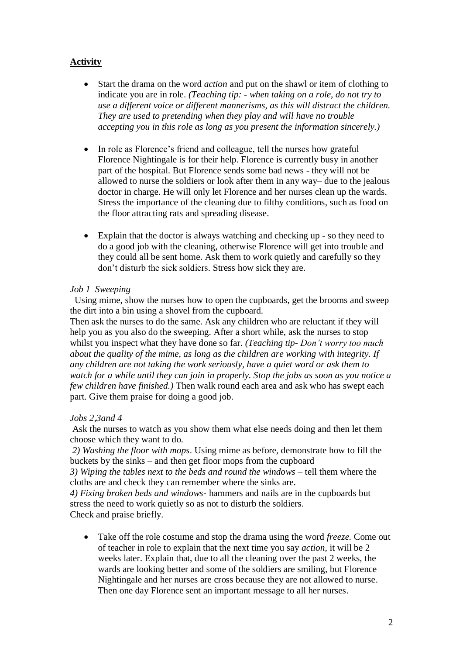## **Activity**

- Start the drama on the word *action* and put on the shawl or item of clothing to indicate you are in role. *(Teaching tip: - when taking on a role, do not try to use a different voice or different mannerisms, as this will distract the children. They are used to pretending when they play and will have no trouble accepting you in this role as long as you present the information sincerely.)*
- In role as Florence's friend and colleague, tell the nurses how grateful Florence Nightingale is for their help. Florence is currently busy in another part of the hospital. But Florence sends some bad news - they will not be allowed to nurse the soldiers or look after them in any way– due to the jealous doctor in charge. He will only let Florence and her nurses clean up the wards. Stress the importance of the cleaning due to filthy conditions, such as food on the floor attracting rats and spreading disease.
- Explain that the doctor is always watching and checking up so they need to do a good job with the cleaning, otherwise Florence will get into trouble and they could all be sent home. Ask them to work quietly and carefully so they don't disturb the sick soldiers. Stress how sick they are.

## *Job 1 Sweeping*

Using mime, show the nurses how to open the cupboards, get the brooms and sweep the dirt into a bin using a shovel from the cupboard.

Then ask the nurses to do the same. Ask any children who are reluctant if they will help you as you also do the sweeping. After a short while, ask the nurses to stop whilst you inspect what they have done so far. *(Teaching tip- Don't worry too much about the quality of the mime, as long as the children are working with integrity. If any children are not taking the work seriously, have a quiet word or ask them to watch for a while until they can join in properly. Stop the jobs as soon as you notice a few children have finished.)* Then walk round each area and ask who has swept each part. Give them praise for doing a good job.

## *Jobs 2,3and 4*

Ask the nurses to watch as you show them what else needs doing and then let them choose which they want to do.

*2) Washing the floor with mops*. Using mime as before, demonstrate how to fill the buckets by the sinks – and then get floor mops from the cupboard

*3) Wiping the tables next to the beds and round the windows* – tell them where the cloths are and check they can remember where the sinks are.

*4) Fixing broken beds and windows*- hammers and nails are in the cupboards but stress the need to work quietly so as not to disturb the soldiers. Check and praise briefly.

• Take off the role costume and stop the drama using the word *freeze.* Come out of teacher in role to explain that the next time you say *action,* it will be 2 weeks later. Explain that, due to all the cleaning over the past 2 weeks, the wards are looking better and some of the soldiers are smiling, but Florence Nightingale and her nurses are cross because they are not allowed to nurse. Then one day Florence sent an important message to all her nurses.